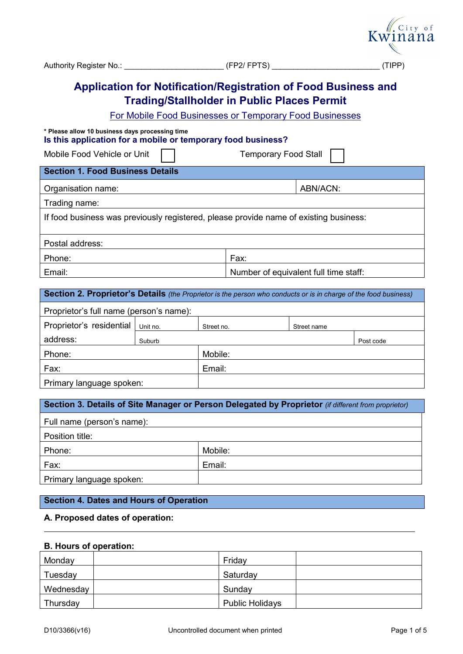|                                                                                                                                                |          |            |                                                                                                                                                                                               |             | Kwinana   |  |  |
|------------------------------------------------------------------------------------------------------------------------------------------------|----------|------------|-----------------------------------------------------------------------------------------------------------------------------------------------------------------------------------------------|-------------|-----------|--|--|
| Authority Register No.: __________________________________(FP2/ FPTS) _____________________________                                            |          |            |                                                                                                                                                                                               |             | (TIPP)    |  |  |
|                                                                                                                                                |          |            | <b>Application for Notification/Registration of Food Business and</b><br><b>Trading/Stallholder in Public Places Permit</b><br><b>For Mobile Food Businesses or Temporary Food Businesses</b> |             |           |  |  |
| * Please allow 10 business days processing time<br>Is this application for a mobile or temporary food business?<br>Mobile Food Vehicle or Unit |          |            | <b>Temporary Food Stall</b>                                                                                                                                                                   |             |           |  |  |
| <b>Section 1. Food Business Details</b>                                                                                                        |          |            |                                                                                                                                                                                               |             |           |  |  |
| Organisation name:                                                                                                                             |          |            |                                                                                                                                                                                               | ABN/ACN:    |           |  |  |
| Trading name:                                                                                                                                  |          |            |                                                                                                                                                                                               |             |           |  |  |
| If food business was previously registered, please provide name of existing business:                                                          |          |            |                                                                                                                                                                                               |             |           |  |  |
| Postal address:                                                                                                                                |          |            |                                                                                                                                                                                               |             |           |  |  |
| Phone:                                                                                                                                         |          |            | Fax:                                                                                                                                                                                          |             |           |  |  |
| Email:                                                                                                                                         |          |            | Number of equivalent full time staff:                                                                                                                                                         |             |           |  |  |
| Section 2. Proprietor's Details (the Proprietor is the person who conducts or is in charge of the food business)                               |          |            |                                                                                                                                                                                               |             |           |  |  |
| Proprietor's full name (person's name):                                                                                                        |          |            |                                                                                                                                                                                               |             |           |  |  |
| Proprietor's residential                                                                                                                       | Unit no. | Street no. |                                                                                                                                                                                               | Street name |           |  |  |
| address:                                                                                                                                       | Suburb   |            |                                                                                                                                                                                               |             | Post code |  |  |
| Phone:                                                                                                                                         |          | Mobile:    |                                                                                                                                                                                               |             |           |  |  |
| Fax:                                                                                                                                           |          | Email:     |                                                                                                                                                                                               |             |           |  |  |
| Primary language spoken:                                                                                                                       |          |            |                                                                                                                                                                                               |             |           |  |  |
| Section 3. Details of Site Manager or Person Delegated by Proprietor (if different from proprietor)                                            |          |            |                                                                                                                                                                                               |             |           |  |  |
| Full name (person's name):                                                                                                                     |          |            |                                                                                                                                                                                               |             |           |  |  |
| Position title:                                                                                                                                |          |            |                                                                                                                                                                                               |             |           |  |  |
| Phone:                                                                                                                                         |          | Mobile:    |                                                                                                                                                                                               |             |           |  |  |

**Section 4. Dates and Hours of Operation**

Fax: Email:

# **A. Proposed dates of operation:**

# **B. Hours of operation:**

Primary language spoken:

| Monday    | Friday                 |  |
|-----------|------------------------|--|
| Tuesday   | Saturday               |  |
| Wednesday | Sunday                 |  |
| Thursday  | <b>Public Holidays</b> |  |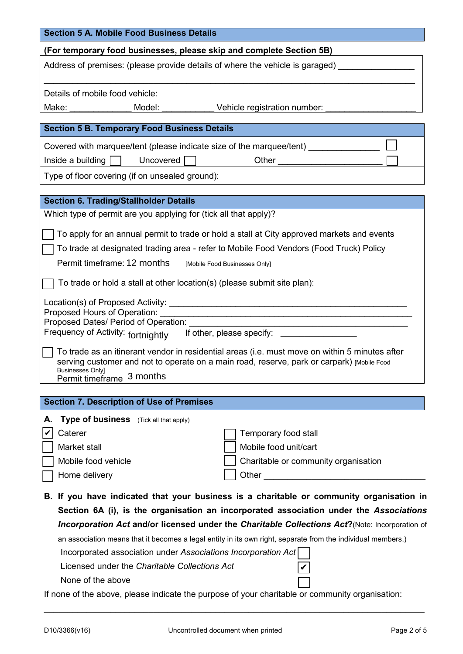| <b>Section 5 A. Mobile Food Business Details</b>                                                                                                                                                                                               |
|------------------------------------------------------------------------------------------------------------------------------------------------------------------------------------------------------------------------------------------------|
| (For temporary food businesses, please skip and complete Section 5B)                                                                                                                                                                           |
| Address of premises: (please provide details of where the vehicle is garaged)                                                                                                                                                                  |
|                                                                                                                                                                                                                                                |
| Details of mobile food vehicle:                                                                                                                                                                                                                |
| Vehicle registration number:<br>Make:<br>Model:                                                                                                                                                                                                |
|                                                                                                                                                                                                                                                |
| <b>Section 5 B. Temporary Food Business Details</b>                                                                                                                                                                                            |
| Covered with marquee/tent (please indicate size of the marquee/tent)                                                                                                                                                                           |
| Inside a building $\Box$<br>Uncovered [                                                                                                                                                                                                        |
| Type of floor covering (if on unsealed ground):                                                                                                                                                                                                |
|                                                                                                                                                                                                                                                |
| <b>Section 6. Trading/Stallholder Details</b>                                                                                                                                                                                                  |
| Which type of permit are you applying for (tick all that apply)?                                                                                                                                                                               |
| To apply for an annual permit to trade or hold a stall at City approved markets and events                                                                                                                                                     |
| To trade at designated trading area - refer to Mobile Food Vendors (Food Truck) Policy                                                                                                                                                         |
| Permit timeframe: 12 months<br>[Mobile Food Businesses Only]                                                                                                                                                                                   |
|                                                                                                                                                                                                                                                |
| To trade or hold a stall at other location(s) (please submit site plan):                                                                                                                                                                       |
|                                                                                                                                                                                                                                                |
| Proposed Hours of Operation:<br><u> 1989 - Johann Stoff, deutscher Stoffen und der Stoffen und der Stoffen und der Stoffen und der Stoffen und der</u>                                                                                         |
|                                                                                                                                                                                                                                                |
| To trade as an itinerant vendor in residential areas (i.e. must move on within 5 minutes after                                                                                                                                                 |
| serving customer and not to operate on a main road, reserve, park or carpark) [Mobile Food                                                                                                                                                     |
| <b>Businesses Only]</b><br>Permit timeframe 3 months                                                                                                                                                                                           |
|                                                                                                                                                                                                                                                |
| <b>Section 7. Description of Use of Premises</b>                                                                                                                                                                                               |
| Type of business (Tick all that apply)<br>Α.                                                                                                                                                                                                   |
| Caterer<br>Temporary food stall                                                                                                                                                                                                                |
| Market stall<br>Mobile food unit/cart                                                                                                                                                                                                          |
| Mobile food vehicle<br>Charitable or community organisation                                                                                                                                                                                    |
| Other and the contract of the contract of the contract of the contract of the contract of the contract of the contract of the contract of the contract of the contract of the contract of the contract of the contract of the<br>Home delivery |
|                                                                                                                                                                                                                                                |
| B. If you have indicated that your business is a charitable or community organisation in<br>Section 6A (i), is the organisation an incorporated association under the Associations                                                             |
| Incorporation Act and/or licensed under the Charitable Collections Act?(Note: Incorporation of                                                                                                                                                 |
|                                                                                                                                                                                                                                                |
| an association means that it becomes a legal entity in its own right, separate from the individual members.)<br>Incorporated association under Associations Incorporation Act                                                                  |
| Licensed under the Charitable Collections Act                                                                                                                                                                                                  |
| None of the above                                                                                                                                                                                                                              |
| If none of the above, please indicate the purpose of your charitable or community organisation:                                                                                                                                                |

 $\_$  , and the set of the set of the set of the set of the set of the set of the set of the set of the set of the set of the set of the set of the set of the set of the set of the set of the set of the set of the set of th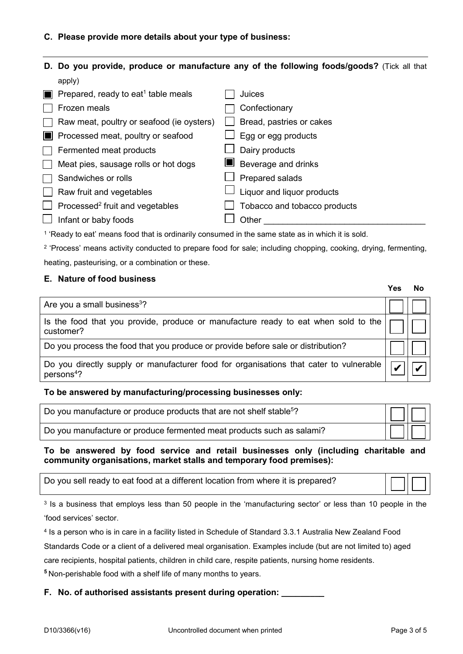## **C. Please provide more details about your type of business:**

|        |                                                 | D. Do you provide, produce or manufacture any of the following foods/goods? (Tick all that |
|--------|-------------------------------------------------|--------------------------------------------------------------------------------------------|
|        | apply)                                          |                                                                                            |
| $\Box$ | Prepared, ready to eat <sup>1</sup> table meals | Juices                                                                                     |
|        | Frozen meals                                    | Confectionary                                                                              |
|        | Raw meat, poultry or seafood (ie oysters)       | Bread, pastries or cakes                                                                   |
|        | Processed meat, poultry or seafood              | Egg or egg products                                                                        |
|        | Fermented meat products                         | Dairy products                                                                             |
|        | Meat pies, sausage rolls or hot dogs            | $\blacksquare$ Beverage and drinks                                                         |
|        | Sandwiches or rolls                             | Prepared salads                                                                            |
|        | Raw fruit and vegetables                        | Liquor and liquor products                                                                 |
|        | Processed <sup>2</sup> fruit and vegetables     | Tobacco and tobacco products                                                               |
|        | Infant or baby foods                            | Other                                                                                      |

<sup>1</sup> 'Ready to eat' means food that is ordinarily consumed in the same state as in which it is sold.

<sup>2</sup> 'Process' means activity conducted to prepare food for sale; including chopping, cooking, drying, fermenting, heating, pasteurising, or a combination or these.

## **E. Nature of food business**

|                                                                                                                  | Yes | No |
|------------------------------------------------------------------------------------------------------------------|-----|----|
| Are you a small business <sup>3</sup> ?                                                                          |     |    |
| Is the food that you provide, produce or manufacture ready to eat when sold to the  <br>customer?                |     |    |
| Do you process the food that you produce or provide before sale or distribution?                                 |     |    |
| Do you directly supply or manufacturer food for organisations that cater to vulnerable<br>persons <sup>4</sup> ? |     |    |

### **To be answered by manufacturing/processing businesses only:**

| Do you manufacture or produce products that are not shelf stable <sup>5</sup> ? |  |  |
|---------------------------------------------------------------------------------|--|--|
| Do you manufacture or produce fermented meat products such as salami?           |  |  |

## **To be answered by food service and retail businesses only (including charitable and community organisations, market stalls and temporary food premises):**

Do you sell ready to eat food at a different location from where it is prepared?

<sup>3</sup> Is a business that employs less than 50 people in the 'manufacturing sector' or less than 10 people in the 'food services' sector.

<sup>4</sup> Is a person who is in care in a facility listed in Schedule of Standard 3.3.1 Australia New Zealand Food

Standards Code or a client of a delivered meal organisation. Examples include (but are not limited to) aged

care recipients, hospital patients, children in child care, respite patients, nursing home residents.

**<sup>5</sup>**Non-perishable food with a shelf life of many months to years.

### **F. No. of authorised assistants present during operation: \_\_\_\_\_\_\_\_\_**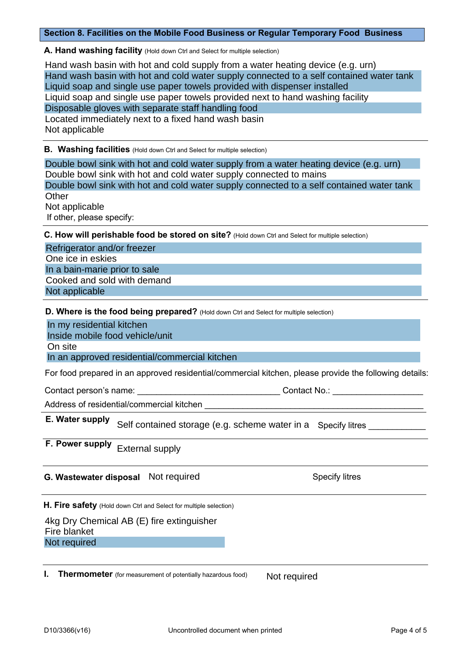#### **F. Power supply** External supply

#### **G. Wastewater disposal**

Address of residential/commercial kitchen

**H. Fire safety** (Hold down Ctrl and Select for multiple selection)

4kg Dry Chemical AB (E) fire extinguisher Fire blanket Not required Not required<br>
Ind Select for multiple selection)<br>
fire extinguisher<br>
Perment of potentially hazardous food) Not required

**I. Thermometer** (for measurement of potentially hazardous food)

In my residential kitchen Inside mobile food vehicle/unit On site

In an approved residential/commercial kitchen

For food prepared in an approved residential/commercial kitchen, please provide the following details:

**C. How will perishable food be stored on site?** (Hold down Ctrl and Select for multiple selection) Refrigerator and/or freezer One ice in eskies

In a bain-marie prior to sale Cooked and sold with demand

Not applicable

**E. Water supply**

**D.** Where is the food being prepared? (Hold down Ctrl and Select for multiple selection)

|  |  |  | Section 8. Facilities on the Mobile Food Business or Regular Temporary Food Business |  |
|--|--|--|--------------------------------------------------------------------------------------|--|

**A. Hand washing facility** (Hold down Ctrl and Select for multiple selection)

Hand wash basin with hot and cold supply from a water heating device (e.g. urn) Hand wash basin with hot and cold water supply connected to a self contained water tank Liquid soap and single use paper towels provided with dispenser installed Liquid soap and single use paper towels provided next to hand washing facility Disposable gloves with separate staff handling food Located immediately next to a fixed hand wash basin Not applicable

**B. Washing facilities** (Hold down Ctrl and Select for multiple selection)

Double bowl sink with hot and cold water supply from a water heating device (e.g. urn) Double bowl sink with hot and cold water supply connected to mains Double bowl sink with hot and cold water supply connected to a self contained water tank **Other** 

Not applicable

If other, please specify:

Specify litres

Contact person's name: \_\_\_\_\_\_\_\_\_\_\_\_\_\_\_\_\_\_\_\_\_\_\_\_\_\_\_\_\_\_ Contact No.: \_\_\_\_\_\_\_\_\_\_\_\_\_\_\_\_\_\_\_

Self contained storage (e.g. scheme water in a Specify litres \_\_\_\_\_\_\_\_\_\_\_\_